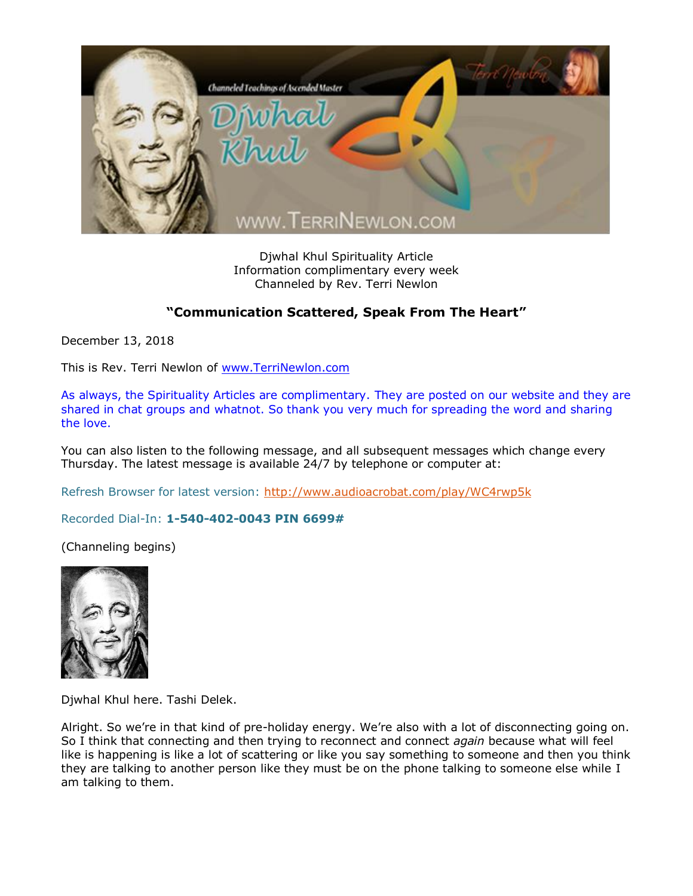

Djwhal Khul Spirituality Article Information complimentary every week Channeled by Rev. Terri Newlon

## **"Communication Scattered, Speak From The Heart"**

December 13, 2018

This is Rev. Terri Newlon of [www.TerriNewlon.com](http://www.terrinewlon.com/)

As always, the Spirituality Articles are complimentary. They are posted on our website and they are shared in chat groups and whatnot. So thank you very much for spreading the word and sharing the love.

You can also listen to the following message, and all subsequent messages which change every Thursday. The latest message is available 24/7 by telephone or computer at:

Refresh Browser for latest version:<http://www.audioacrobat.com/play/WC4rwp5k>

Recorded Dial-In: **1-540-402-0043 PIN 6699#**

(Channeling begins)



Djwhal Khul here. Tashi Delek.

Alright. So we're in that kind of pre-holiday energy. We're also with a lot of disconnecting going on. So I think that connecting and then trying to reconnect and connect *again* because what will feel like is happening is like a lot of scattering or like you say something to someone and then you think they are talking to another person like they must be on the phone talking to someone else while I am talking to them.